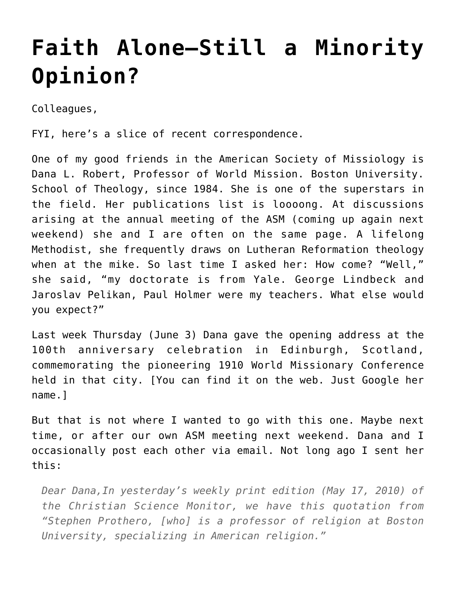# **[Faith Alone–Still a Minority](https://crossings.org/faith-alone-still-a-minority-opinion/) [Opinion?](https://crossings.org/faith-alone-still-a-minority-opinion/)**

Colleagues,

FYI, here's a slice of recent correspondence.

One of my good friends in the American Society of Missiology is Dana L. Robert, Professor of World Mission. Boston University. School of Theology, since 1984. She is one of the superstars in the field. Her publications list is loooong. At discussions arising at the annual meeting of the ASM (coming up again next weekend) she and I are often on the same page. A lifelong Methodist, she frequently draws on Lutheran Reformation theology when at the mike. So last time I asked her: How come? "Well," she said, "my doctorate is from Yale. George Lindbeck and Jaroslav Pelikan, Paul Holmer were my teachers. What else would you expect?"

Last week Thursday (June 3) Dana gave the opening address at the 100th anniversary celebration in Edinburgh, Scotland, commemorating the pioneering 1910 World Missionary Conference held in that city. [You can find it on the web. Just Google her name.1

But that is not where I wanted to go with this one. Maybe next time, or after our own ASM meeting next weekend. Dana and I occasionally post each other via email. Not long ago I sent her this:

*Dear Dana,In yesterday's weekly print edition (May 17, 2010) of the Christian Science Monitor, we have this quotation from "Stephen Prothero, [who] is a professor of religion at Boston University, specializing in American religion."*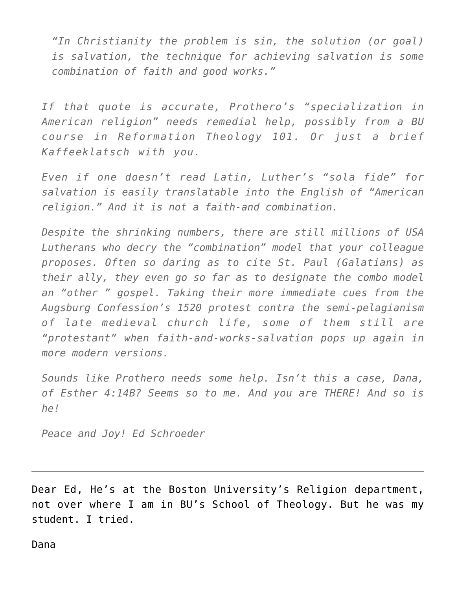*"In Christianity the problem is sin, the solution (or goal) is salvation, the technique for achieving salvation is some combination of faith and good works."*

*If that quote is accurate, Prothero's "specialization in American religion" needs remedial help, possibly from a BU course in Reformation Theology 101. Or just a brief Kaffeeklatsch with you.*

*Even if one doesn't read Latin, Luther's "sola fide" for salvation is easily translatable into the English of "American religion." And it is not a faith-and combination.*

*Despite the shrinking numbers, there are still millions of USA Lutherans who decry the "combination" model that your colleague proposes. Often so daring as to cite St. Paul (Galatians) as their ally, they even go so far as to designate the combo model an "other " gospel. Taking their more immediate cues from the Augsburg Confession's 1520 protest contra the semi-pelagianism of late medieval church life, some of them still are "protestant" when faith-and-works-salvation pops up again in more modern versions.*

*Sounds like Prothero needs some help. Isn't this a case, Dana, of Esther 4:14B? Seems so to me. And you are THERE! And so is he!*

*Peace and Joy! Ed Schroeder*

Dear Ed, He's at the Boston University's Religion department, not over where I am in BU's School of Theology. But he was my student. I tried.

Dana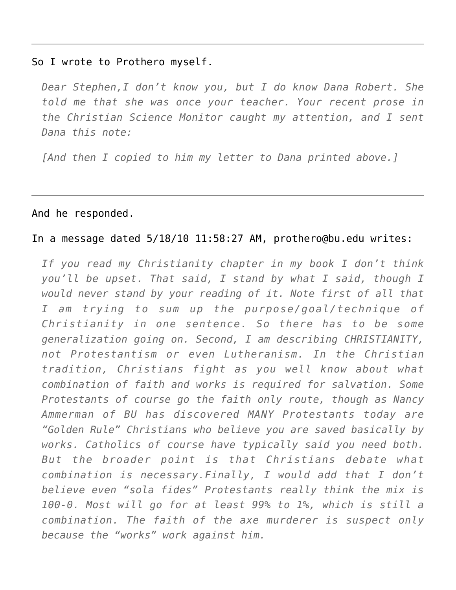#### So I wrote to Prothero myself.

*Dear Stephen,I don't know you, but I do know Dana Robert. She told me that she was once your teacher. Your recent prose in the Christian Science Monitor caught my attention, and I sent Dana this note:*

*[And then I copied to him my letter to Dana printed above.]*

## And he responded.

## In a message dated 5/18/10 11:58:27 AM, prothero@bu.edu writes:

*If you read my Christianity chapter in my book I don't think you'll be upset. That said, I stand by what I said, though I would never stand by your reading of it. Note first of all that I am trying to sum up the purpose/goal/technique of Christianity in one sentence. So there has to be some generalization going on. Second, I am describing CHRISTIANITY, not Protestantism or even Lutheranism. In the Christian tradition, Christians fight as you well know about what combination of faith and works is required for salvation. Some Protestants of course go the faith only route, though as Nancy Ammerman of BU has discovered MANY Protestants today are "Golden Rule" Christians who believe you are saved basically by works. Catholics of course have typically said you need both. But the broader point is that Christians debate what combination is necessary.Finally, I would add that I don't believe even "sola fides" Protestants really think the mix is 100-0. Most will go for at least 99% to 1%, which is still a combination. The faith of the axe murderer is suspect only because the "works" work against him.*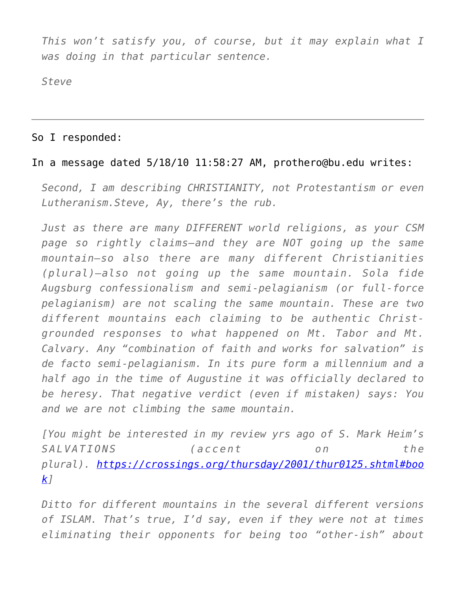*This won't satisfy you, of course, but it may explain what I was doing in that particular sentence.*

*Steve*

## So I responded:

## In a message dated 5/18/10 11:58:27 AM, prothero@bu.edu writes:

*Second, I am describing CHRISTIANITY, not Protestantism or even Lutheranism.Steve, Ay, there's the rub.*

*Just as there are many DIFFERENT world religions, as your CSM page so rightly claims–and they are NOT going up the same mountain–so also there are many different Christianities (plural)–also not going up the same mountain. Sola fide Augsburg confessionalism and semi-pelagianism (or full-force pelagianism) are not scaling the same mountain. These are two different mountains each claiming to be authentic Christgrounded responses to what happened on Mt. Tabor and Mt. Calvary. Any "combination of faith and works for salvation" is de facto semi-pelagianism. In its pure form a millennium and a half ago in the time of Augustine it was officially declared to be heresy. That negative verdict (even if mistaken) says: You and we are not climbing the same mountain.*

*[You might be interested in my review yrs ago of S. Mark Heim's SALVATIONS (accent on the plural). [https://crossings.org/thursday/2001/thur0125.shtml#boo](https://crossings.org/thursday/2001/thur0125.shtml#book) [k](https://crossings.org/thursday/2001/thur0125.shtml#book)]*

*Ditto for different mountains in the several different versions of ISLAM. That's true, I'd say, even if they were not at times eliminating their opponents for being too "other-ish" about*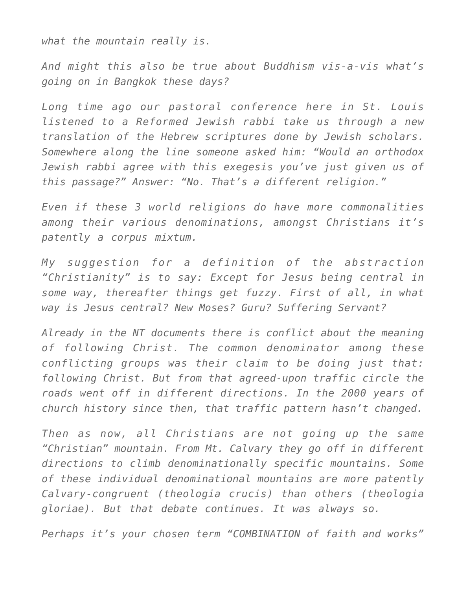*what the mountain really is.*

*And might this also be true about Buddhism vis-a-vis what's going on in Bangkok these days?*

*Long time ago our pastoral conference here in St. Louis listened to a Reformed Jewish rabbi take us through a new translation of the Hebrew scriptures done by Jewish scholars. Somewhere along the line someone asked him: "Would an orthodox Jewish rabbi agree with this exegesis you've just given us of this passage?" Answer: "No. That's a different religion."*

*Even if these 3 world religions do have more commonalities among their various denominations, amongst Christians it's patently a corpus mixtum.*

*My suggestion for a definition of the abstraction "Christianity" is to say: Except for Jesus being central in some way, thereafter things get fuzzy. First of all, in what way is Jesus central? New Moses? Guru? Suffering Servant?*

*Already in the NT documents there is conflict about the meaning of following Christ. The common denominator among these conflicting groups was their claim to be doing just that: following Christ. But from that agreed-upon traffic circle the roads went off in different directions. In the 2000 years of church history since then, that traffic pattern hasn't changed.*

*Then as now, all Christians are not going up the same "Christian" mountain. From Mt. Calvary they go off in different directions to climb denominationally specific mountains. Some of these individual denominational mountains are more patently Calvary-congruent (theologia crucis) than others (theologia gloriae). But that debate continues. It was always so.*

*Perhaps it's your chosen term "COMBINATION of faith and works"*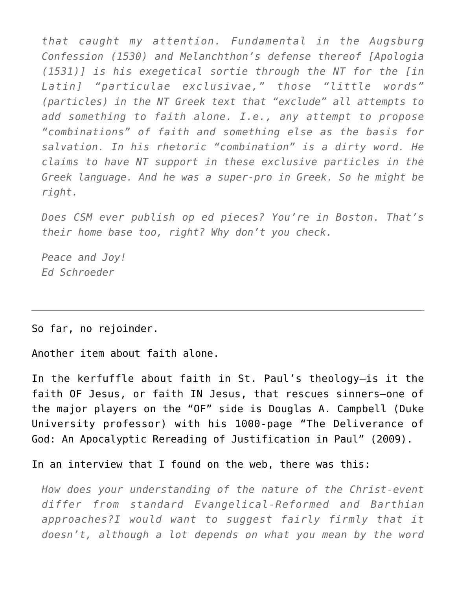*that caught my attention. Fundamental in the Augsburg Confession (1530) and Melanchthon's defense thereof [Apologia (1531)] is his exegetical sortie through the NT for the [in Latin] "particulae exclusivae," those "little words" (particles) in the NT Greek text that "exclude" all attempts to add something to faith alone. I.e., any attempt to propose "combinations" of faith and something else as the basis for salvation. In his rhetoric "combination" is a dirty word. He claims to have NT support in these exclusive particles in the Greek language. And he was a super-pro in Greek. So he might be right.*

*Does CSM ever publish op ed pieces? You're in Boston. That's their home base too, right? Why don't you check.*

*Peace and Joy! Ed Schroeder*

So far, no rejoinder.

Another item about faith alone.

In the kerfuffle about faith in St. Paul's theology–is it the faith OF Jesus, or faith IN Jesus, that rescues sinners–one of the major players on the "OF" side is Douglas A. Campbell (Duke University professor) with his 1000-page "The Deliverance of God: An Apocalyptic Rereading of Justification in Paul" (2009).

In an interview that I found on the web, there was this:

*How does your understanding of the nature of the Christ-event differ from standard Evangelical-Reformed and Barthian approaches?I would want to suggest fairly firmly that it doesn't, although a lot depends on what you mean by the word*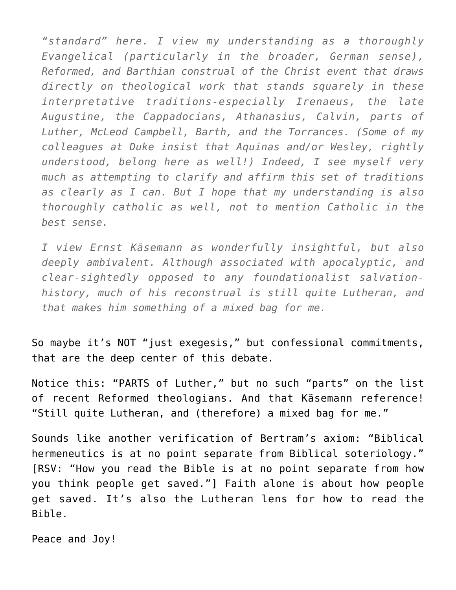*"standard" here. I view my understanding as a thoroughly Evangelical (particularly in the broader, German sense), Reformed, and Barthian construal of the Christ event that draws directly on theological work that stands squarely in these interpretative traditions-especially Irenaeus, the late Augustine, the Cappadocians, Athanasius, Calvin, parts of Luther, McLeod Campbell, Barth, and the Torrances. (Some of my colleagues at Duke insist that Aquinas and/or Wesley, rightly understood, belong here as well!) Indeed, I see myself very much as attempting to clarify and affirm this set of traditions as clearly as I can. But I hope that my understanding is also thoroughly catholic as well, not to mention Catholic in the best sense.*

*I view Ernst Käsemann as wonderfully insightful, but also deeply ambivalent. Although associated with apocalyptic, and clear-sightedly opposed to any foundationalist salvationhistory, much of his reconstrual is still quite Lutheran, and that makes him something of a mixed bag for me.*

So maybe it's NOT "just exegesis," but confessional commitments, that are the deep center of this debate.

Notice this: "PARTS of Luther," but no such "parts" on the list of recent Reformed theologians. And that Käsemann reference! "Still quite Lutheran, and (therefore) a mixed bag for me."

Sounds like another verification of Bertram's axiom: "Biblical hermeneutics is at no point separate from Biblical soteriology." [RSV: "How you read the Bible is at no point separate from how you think people get saved."] Faith alone is about how people get saved. It's also the Lutheran lens for how to read the Bible.

Peace and Joy!